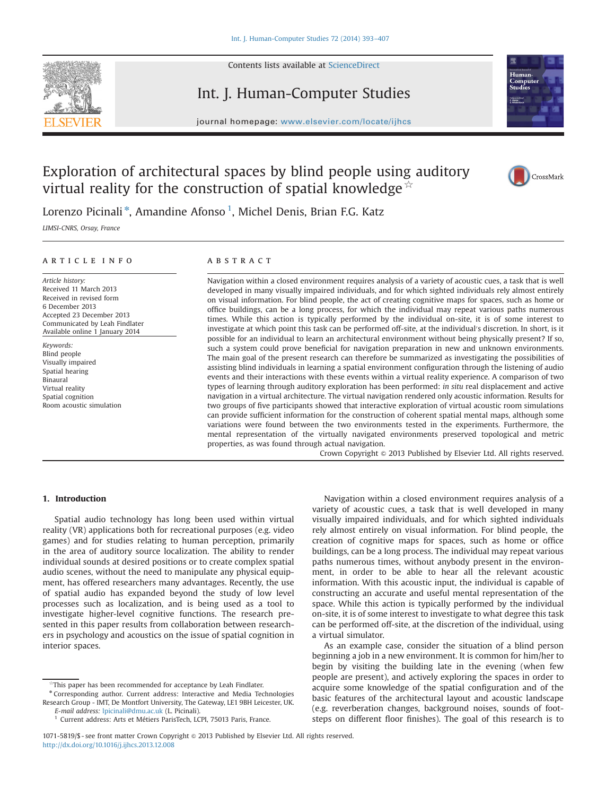

Contents lists available at [ScienceDirect](www.sciencedirect.com/science/journal/10715819)

### Int. J. Human-Computer Studies

journal homepage: www.elsevier.com/locate/ij/homepage: www.elsevier.com/locate/ij



## Exploration of architectural spaces by blind people using auditory virtual reality for the construction of spatial knowledge  $\dot{\mathbb{R}}$



Lorenzo Picinali\*, Amandine Afonso<sup>1</sup>, Michel Denis, Brian F.G. Katz

LIMSI-CNRS, Orsay, France

#### article info

Article history: Received 11 March 2013 Received in revised form 6 December 2013 Accepted 23 December 2013 Communicated by Leah Findlater Available online 1 January 2014

Keywords: Blind people Visually impaired Spatial hearing Binaural Virtual reality Spatial cognition Room acoustic simulation

#### ABSTRACT

Navigation within a closed environment requires analysis of a variety of acoustic cues, a task that is well developed in many visually impaired individuals, and for which sighted individuals rely almost entirely on visual information. For blind people, the act of creating cognitive maps for spaces, such as home or office buildings, can be a long process, for which the individual may repeat various paths numerous times. While this action is typically performed by the individual on-site, it is of some interest to investigate at which point this task can be performed off-site, at the individual's discretion. In short, is it possible for an individual to learn an architectural environment without being physically present? If so, such a system could prove beneficial for navigation preparation in new and unknown environments. The main goal of the present research can therefore be summarized as investigating the possibilities of assisting blind individuals in learning a spatial environment configuration through the listening of audio events and their interactions with these events within a virtual reality experience. A comparison of two types of learning through auditory exploration has been performed: in situ real displacement and active navigation in a virtual architecture. The virtual navigation rendered only acoustic information. Results for two groups of five participants showed that interactive exploration of virtual acoustic room simulations can provide sufficient information for the construction of coherent spatial mental maps, although some variations were found between the two environments tested in the experiments. Furthermore, the mental representation of the virtually navigated environments preserved topological and metric properties, as was found through actual navigation.

Crown Copyright © 2013 Published by Elsevier Ltd. All rights reserved.

Navigation within a closed environment requires analysis of a variety of acoustic cues, a task that is well developed in many visually impaired individuals, and for which sighted individuals

#### 1. Introduction

Spatial audio technology has long been used within virtual reality (VR) applications both for recreational purposes (e.g. video games) and for studies relating to human perception, primarily in the area of auditory source localization. The ability to render individual sounds at desired positions or to create complex spatial audio scenes, without the need to manipulate any physical equipment, has offered researchers many advantages. Recently, the use of spatial audio has expanded beyond the study of low level processes such as localization, and is being used as a tool to investigate higher-level cognitive functions. The research presented in this paper results from collaboration between researchers in psychology and acoustics on the issue of spatial cognition in interior spaces.

\* Corresponding author. Current address: Interactive and Media Technologies Research Group - IMT, De Montfort University, The Gateway, LE1 9BH Leicester, UK. E-mail address: [lpicinali@dmu.ac.uk](mailto:lpicinali@dmu.ac.uk) (L. Picinali).

rely almost entirely on visual information. For blind people, the creation of cognitive maps for spaces, such as home or office buildings, can be a long process. The individual may repeat various paths numerous times, without anybody present in the environment, in order to be able to hear all the relevant acoustic information. With this acoustic input, the individual is capable of constructing an accurate and useful mental representation of the space. While this action is typically performed by the individual on-site, it is of some interest to investigate to what degree this task can be performed off-site, at the discretion of the individual, using a virtual simulator. As an example case, consider the situation of a blind person

beginning a job in a new environment. It is common for him/her to begin by visiting the building late in the evening (when few people are present), and actively exploring the spaces in order to acquire some knowledge of the spatial configuration and of the basic features of the architectural layout and acoustic landscape (e.g. reverberation changes, background noises, sounds of footsteps on different floor finishes). The goal of this research is to

This paper has been recommended for acceptance by Leah Findlater.

<sup>&</sup>lt;sup>1</sup> Current address: Arts et Métiers ParisTech, LCPI, 75013 Paris, France.

<sup>1071-5819/\$ -</sup> see front matter Crown Copyright  $\circ$  2013 Published by Elsevier Ltd. All rights reserved. <http://dx.doi.org/10.1016/j.ijhcs.2013.12.008>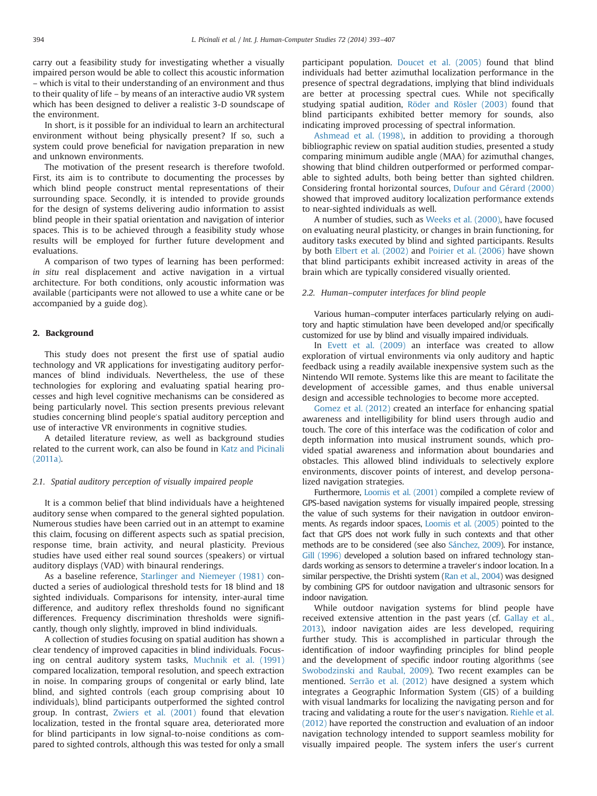carry out a feasibility study for investigating whether a visually impaired person would be able to collect this acoustic information – which is vital to their understanding of an environment and thus to their quality of life – by means of an interactive audio VR system which has been designed to deliver a realistic 3-D soundscape of the environment.

In short, is it possible for an individual to learn an architectural environment without being physically present? If so, such a system could prove beneficial for navigation preparation in new and unknown environments.

The motivation of the present research is therefore twofold. First, its aim is to contribute to documenting the processes by which blind people construct mental representations of their surrounding space. Secondly, it is intended to provide grounds for the design of systems delivering audio information to assist blind people in their spatial orientation and navigation of interior spaces. This is to be achieved through a feasibility study whose results will be employed for further future development and evaluations.

A comparison of two types of learning has been performed: in situ real displacement and active navigation in a virtual architecture. For both conditions, only acoustic information was available (participants were not allowed to use a white cane or be accompanied by a guide dog).

#### 2. Background

This study does not present the first use of spatial audio technology and VR applications for investigating auditory performances of blind individuals. Nevertheless, the use of these technologies for exploring and evaluating spatial hearing processes and high level cognitive mechanisms can be considered as being particularly novel. This section presents previous relevant studies concerning blind people's spatial auditory perception and use of interactive VR environments in cognitive studies.

A detailed literature review, as well as background studies related to the current work, can also be found in Katz and Picinali (2011a).

#### 2.1. Spatial auditory perception of visually impaired people

It is a common belief that blind individuals have a heightened auditory sense when compared to the general sighted population. Numerous studies have been carried out in an attempt to examine this claim, focusing on different aspects such as spatial precision, response time, brain activity, and neural plasticity. Previous studies have used either real sound sources (speakers) or virtual auditory displays (VAD) with binaural renderings.

As a baseline reference, Starlinger and Niemeyer (1981) conducted a series of audiological threshold tests for 18 blind and 18 sighted individuals. Comparisons for intensity, inter-aural time difference, and auditory reflex thresholds found no significant differences. Frequency discrimination thresholds were significantly, though only slightly, improved in blind individuals.

A collection of studies focusing on spatial audition has shown a clear tendency of improved capacities in blind individuals. Focusing on central auditory system tasks, Muchnik et al. (1991) compared localization, temporal resolution, and speech extraction in noise. In comparing groups of congenital or early blind, late blind, and sighted controls (each group comprising about 10 individuals), blind participants outperformed the sighted control group. In contrast, Zwiers et al. (2001) found that elevation localization, tested in the frontal square area, deteriorated more for blind participants in low signal-to-noise conditions as compared to sighted controls, although this was tested for only a small participant population. Doucet et al. (2005) found that blind individuals had better azimuthal localization performance in the presence of spectral degradations, implying that blind individuals are better at processing spectral cues. While not specifically studying spatial audition, Röder and Rösler (2003) found that blind participants exhibited better memory for sounds, also indicating improved processing of spectral information.

Ashmead et al. (1998), in addition to providing a thorough bibliographic review on spatial audition studies, presented a study comparing minimum audible angle (MAA) for azimuthal changes, showing that blind children outperformed or performed comparable to sighted adults, both being better than sighted children. Considering frontal horizontal sources, Dufour and Gérard (2000) showed that improved auditory localization performance extends to near-sighted individuals as well.

A number of studies, such as Weeks et al. (2000), have focused on evaluating neural plasticity, or changes in brain functioning, for auditory tasks executed by blind and sighted participants. Results by both Elbert et al. (2002) and Poirier et al. (2006) have shown that blind participants exhibit increased activity in areas of the brain which are typically considered visually oriented.

#### 2.2. Human–computer interfaces for blind people

Various human–computer interfaces particularly relying on auditory and haptic stimulation have been developed and/or specifically customized for use by blind and visually impaired individuals.

In Evett et al. (2009) an interface was created to allow exploration of virtual environments via only auditory and haptic feedback using a readily available inexpensive system such as the Nintendo WII remote. Systems like this are meant to facilitate the development of accessible games, and thus enable universal design and accessible technologies to become more accepted.

Gomez et al. (2012) created an interface for enhancing spatial awareness and intelligibility for blind users through audio and touch. The core of this interface was the codification of color and depth information into musical instrument sounds, which provided spatial awareness and information about boundaries and obstacles. This allowed blind individuals to selectively explore environments, discover points of interest, and develop personalized navigation strategies.

Furthermore, Loomis et al. (2001) compiled a complete review of GPS-based navigation systems for visually impaired people, stressing the value of such systems for their navigation in outdoor environments. As regards indoor spaces, Loomis et al. (2005) pointed to the fact that GPS does not work fully in such contexts and that other methods are to be considered (see also Sánchez, 2009). For instance, Gill (1996) developed a solution based on infrared technology standards working as sensors to determine a traveler's indoor location. In a similar perspective, the Drishti system (Ran et al., 2004) was designed by combining GPS for outdoor navigation and ultrasonic sensors for indoor navigation.

While outdoor navigation systems for blind people have received extensive attention in the past years (cf. Gallay et al., 2013), indoor navigation aides are less developed, requiring further study. This is accomplished in particular through the identification of indoor wayfinding principles for blind people and the development of specific indoor routing algorithms (see Swobodzinski and Raubal, 2009). Two recent examples can be mentioned. Serrão et al. (2012) have designed a system which integrates a Geographic Information System (GIS) of a building with visual landmarks for localizing the navigating person and for tracing and validating a route for the user's navigation. Riehle et al. (2012) have reported the construction and evaluation of an indoor navigation technology intended to support seamless mobility for visually impaired people. The system infers the user's current